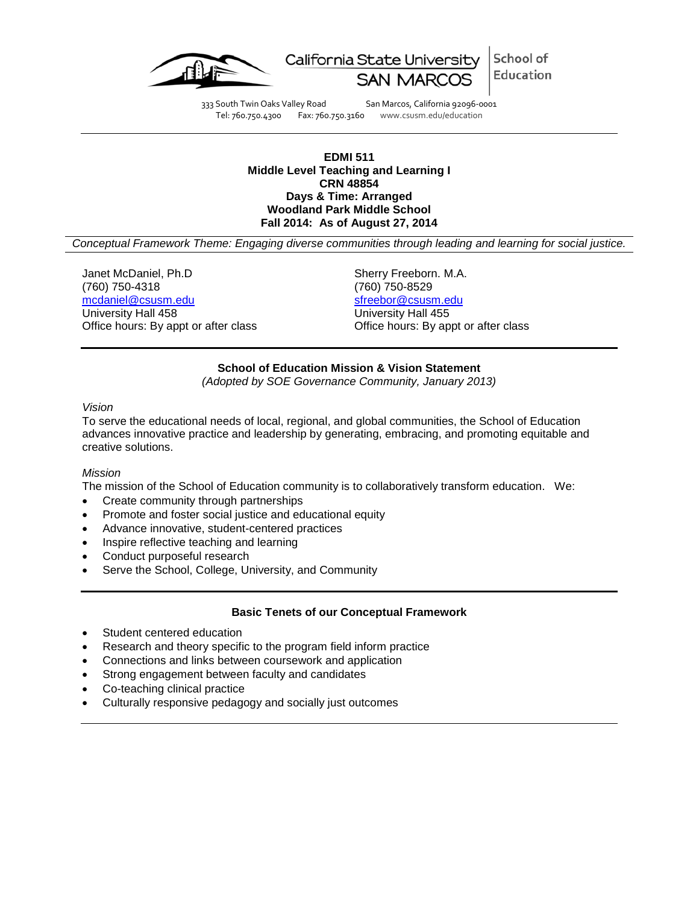

School of California State University Education

333 South Twin Oaks Valley Road San Marcos, California 92096-0001 Tel: 760.750.4300 Fax: 760.750.3160 www.csusm.edu/education

#### **EDMI 511 Middle Level Teaching and Learning I CRN 48854 Days & Time: Arranged Woodland Park Middle School Fall 2014: As of August 27, 2014**

*Conceptual Framework Theme: Engaging diverse communities through leading and learning for social justice.*

Janet McDaniel, Ph.D Sherry Freeborn. M.A. (760) 750-4318 (760) 750-8529 [mcdaniel@csusm.edu](mailto:mcdaniel@csusm.edu) [sfreebor@csusm.edu](mailto:sfreebor@csusm.edu) University Hall 458

Office hours: By appt or after class Office hours: By appt or after class

### **School of Education Mission & Vision Statement**

*(Adopted by SOE Governance Community, January 2013)*

#### *Vision*

To serve the educational needs of local, regional, and global communities, the School of Education advances innovative practice and leadership by generating, embracing, and promoting equitable and creative solutions.

#### *Mission*

The mission of the School of Education community is to collaboratively transform education. We:

- Create community through partnerships
- Promote and foster social justice and educational equity
- Advance innovative, student-centered practices
- Inspire reflective teaching and learning
- Conduct purposeful research
- Serve the School, College, University, and Community

## **Basic Tenets of our Conceptual Framework**

- Student centered education
- Research and theory specific to the program field inform practice
- Connections and links between coursework and application
- Strong engagement between faculty and candidates
- Co-teaching clinical practice
- Culturally responsive pedagogy and socially just outcomes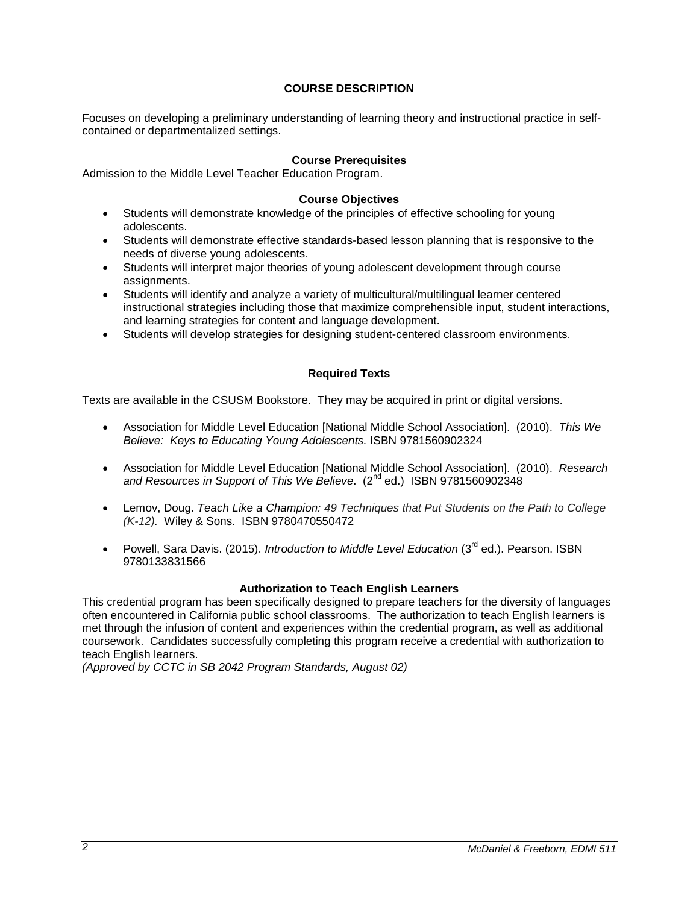# **COURSE DESCRIPTION**

Focuses on developing a preliminary understanding of learning theory and instructional practice in selfcontained or departmentalized settings.

## **Course Prerequisites**

Admission to the Middle Level Teacher Education Program.

### **Course Objectives**

- Students will demonstrate knowledge of the principles of effective schooling for young adolescents.
- Students will demonstrate effective standards-based lesson planning that is responsive to the needs of diverse young adolescents.
- Students will interpret major theories of young adolescent development through course assignments.
- Students will identify and analyze a variety of multicultural/multilingual learner centered instructional strategies including those that maximize comprehensible input, student interactions, and learning strategies for content and language development.
- Students will develop strategies for designing student-centered classroom environments.

### **Required Texts**

Texts are available in the CSUSM Bookstore. They may be acquired in print or digital versions.

- Association for Middle Level Education [National Middle School Association]. (2010). *This We Believe: Keys to Educating Young Adolescents.* ISBN 9781560902324
- Association for Middle Level Education [National Middle School Association]. (2010). *Research*  and Resources in Support of This We Believe. (2<sup>nd</sup> ed.) ISBN 9781560902348
- Lemov, Doug. *Teach Like a Champion: 49 Techniques that Put Students on the Path to College (K-12).* Wiley & Sons. ISBN 9780470550472
- Powell, Sara Davis. (2015). *Introduction to Middle Level Education* (3rd ed.). Pearson. ISBN 9780133831566

#### **Authorization to Teach English Learners**

This credential program has been specifically designed to prepare teachers for the diversity of languages often encountered in California public school classrooms. The authorization to teach English learners is met through the infusion of content and experiences within the credential program, as well as additional coursework. Candidates successfully completing this program receive a credential with authorization to teach English learners.

*(Approved by CCTC in SB 2042 Program Standards, August 02)*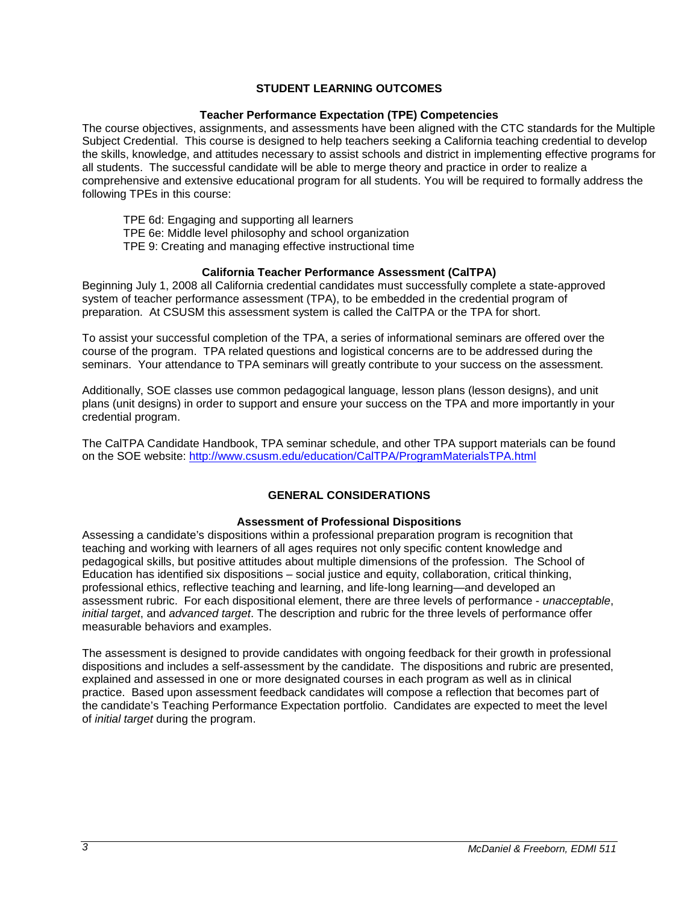## **STUDENT LEARNING OUTCOMES**

### **Teacher Performance Expectation (TPE) Competencies**

The course objectives, assignments, and assessments have been aligned with the CTC standards for the Multiple Subject Credential. This course is designed to help teachers seeking a California teaching credential to develop the skills, knowledge, and attitudes necessary to assist schools and district in implementing effective programs for all students. The successful candidate will be able to merge theory and practice in order to realize a comprehensive and extensive educational program for all students. You will be required to formally address the following TPEs in this course:

TPE 6d: Engaging and supporting all learners TPE 6e: Middle level philosophy and school organization TPE 9: Creating and managing effective instructional time

## **California Teacher Performance Assessment (CalTPA)**

Beginning July 1, 2008 all California credential candidates must successfully complete a state-approved system of teacher performance assessment (TPA), to be embedded in the credential program of preparation. At CSUSM this assessment system is called the CalTPA or the TPA for short.

To assist your successful completion of the TPA, a series of informational seminars are offered over the course of the program. TPA related questions and logistical concerns are to be addressed during the seminars. Your attendance to TPA seminars will greatly contribute to your success on the assessment.

Additionally, SOE classes use common pedagogical language, lesson plans (lesson designs), and unit plans (unit designs) in order to support and ensure your success on the TPA and more importantly in your credential program.

The CalTPA Candidate Handbook, TPA seminar schedule, and other TPA support materials can be found on the SOE website: <http://www.csusm.edu/education/CalTPA/ProgramMaterialsTPA.html>

# **GENERAL CONSIDERATIONS**

#### **Assessment of Professional Dispositions**

Assessing a candidate's dispositions within a professional preparation program is recognition that teaching and working with learners of all ages requires not only specific content knowledge and pedagogical skills, but positive attitudes about multiple dimensions of the profession. The School of Education has identified six dispositions – social justice and equity, collaboration, critical thinking, professional ethics, reflective teaching and learning, and life-long learning—and developed an assessment rubric. For each dispositional element, there are three levels of performance - *unacceptable*, *initial target*, and *advanced target*. The description and rubric for the three levels of performance offer measurable behaviors and examples.

The assessment is designed to provide candidates with ongoing feedback for their growth in professional dispositions and includes a self-assessment by the candidate. The dispositions and rubric are presented, explained and assessed in one or more designated courses in each program as well as in clinical practice. Based upon assessment feedback candidates will compose a reflection that becomes part of the candidate's Teaching Performance Expectation portfolio. Candidates are expected to meet the level of *initial target* during the program.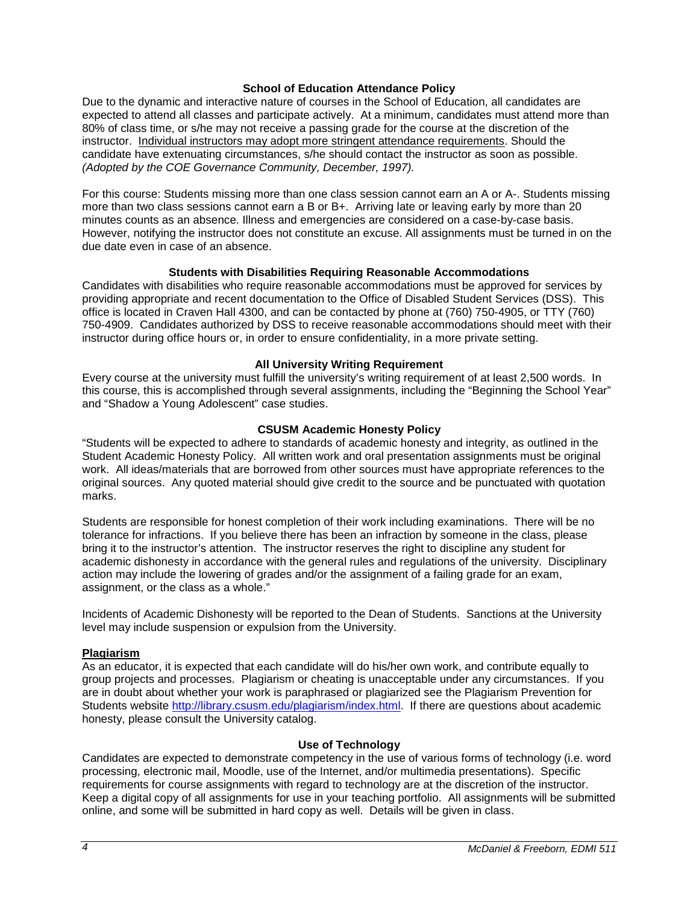### **School of Education Attendance Policy**

Due to the dynamic and interactive nature of courses in the School of Education, all candidates are expected to attend all classes and participate actively. At a minimum, candidates must attend more than 80% of class time, or s/he may not receive a passing grade for the course at the discretion of the instructor. Individual instructors may adopt more stringent attendance requirements. Should the candidate have extenuating circumstances, s/he should contact the instructor as soon as possible. *(Adopted by the COE Governance Community, December, 1997).*

For this course: Students missing more than one class session cannot earn an A or A-. Students missing more than two class sessions cannot earn a B or B+. Arriving late or leaving early by more than 20 minutes counts as an absence. Illness and emergencies are considered on a case-by-case basis. However, notifying the instructor does not constitute an excuse. All assignments must be turned in on the due date even in case of an absence.

### **Students with Disabilities Requiring Reasonable Accommodations**

Candidates with disabilities who require reasonable accommodations must be approved for services by providing appropriate and recent documentation to the Office of Disabled Student Services (DSS). This office is located in Craven Hall 4300, and can be contacted by phone at (760) 750-4905, or TTY (760) 750-4909. Candidates authorized by DSS to receive reasonable accommodations should meet with their instructor during office hours or, in order to ensure confidentiality, in a more private setting.

### **All University Writing Requirement**

Every course at the university must fulfill the university's writing requirement of at least 2,500 words. In this course, this is accomplished through several assignments, including the "Beginning the School Year" and "Shadow a Young Adolescent" case studies.

### **CSUSM Academic Honesty Policy**

"Students will be expected to adhere to standards of academic honesty and integrity, as outlined in the Student Academic Honesty Policy. All written work and oral presentation assignments must be original work. All ideas/materials that are borrowed from other sources must have appropriate references to the original sources. Any quoted material should give credit to the source and be punctuated with quotation marks.

Students are responsible for honest completion of their work including examinations. There will be no tolerance for infractions. If you believe there has been an infraction by someone in the class, please bring it to the instructor's attention. The instructor reserves the right to discipline any student for academic dishonesty in accordance with the general rules and regulations of the university. Disciplinary action may include the lowering of grades and/or the assignment of a failing grade for an exam, assignment, or the class as a whole."

Incidents of Academic Dishonesty will be reported to the Dean of Students. Sanctions at the University level may include suspension or expulsion from the University.

#### **Plagiarism**

As an educator, it is expected that each candidate will do his/her own work, and contribute equally to group projects and processes. Plagiarism or cheating is unacceptable under any circumstances. If you are in doubt about whether your work is paraphrased or plagiarized see the Plagiarism Prevention for Students website [http://library.csusm.edu/plagiarism/index.html.](http://library.csusm.edu/plagiarism/index.html) If there are questions about academic honesty, please consult the University catalog.

#### **Use of Technology**

Candidates are expected to demonstrate competency in the use of various forms of technology (i.e. word processing, electronic mail, Moodle, use of the Internet, and/or multimedia presentations). Specific requirements for course assignments with regard to technology are at the discretion of the instructor. Keep a digital copy of all assignments for use in your teaching portfolio. All assignments will be submitted online, and some will be submitted in hard copy as well. Details will be given in class.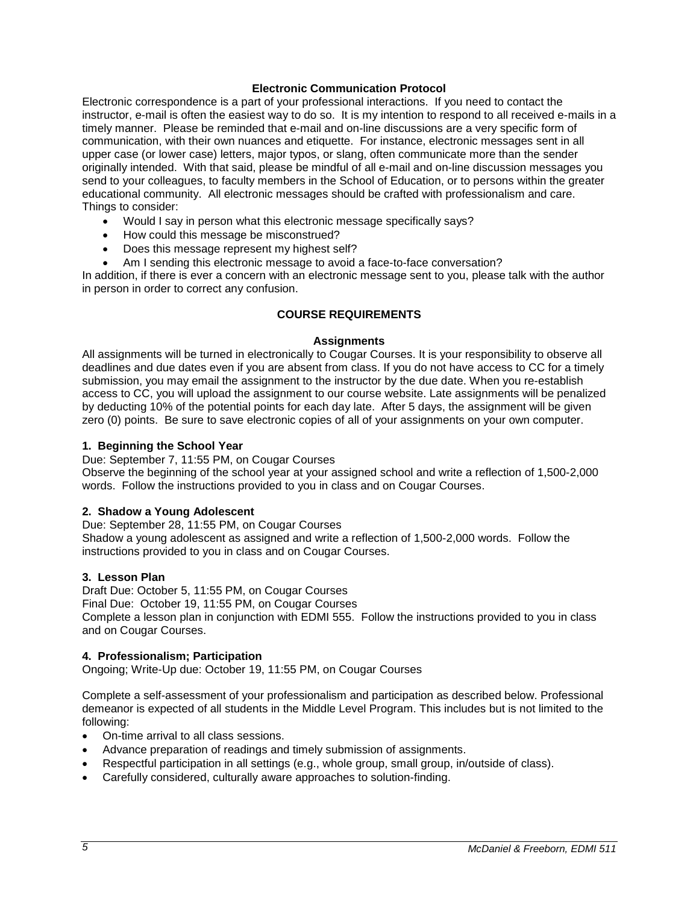### **Electronic Communication Protocol**

Electronic correspondence is a part of your professional interactions. If you need to contact the instructor, e-mail is often the easiest way to do so. It is my intention to respond to all received e-mails in a timely manner. Please be reminded that e-mail and on-line discussions are a very specific form of communication, with their own nuances and etiquette. For instance, electronic messages sent in all upper case (or lower case) letters, major typos, or slang, often communicate more than the sender originally intended. With that said, please be mindful of all e-mail and on-line discussion messages you send to your colleagues, to faculty members in the School of Education, or to persons within the greater educational community. All electronic messages should be crafted with professionalism and care. Things to consider:

- Would I say in person what this electronic message specifically says?
- How could this message be misconstrued?
- Does this message represent my highest self?
- Am I sending this electronic message to avoid a face-to-face conversation?

In addition, if there is ever a concern with an electronic message sent to you, please talk with the author in person in order to correct any confusion.

### **COURSE REQUIREMENTS**

#### **Assignments**

All assignments will be turned in electronically to Cougar Courses. It is your responsibility to observe all deadlines and due dates even if you are absent from class. If you do not have access to CC for a timely submission, you may email the assignment to the instructor by the due date. When you re-establish access to CC, you will upload the assignment to our course website. Late assignments will be penalized by deducting 10% of the potential points for each day late. After 5 days, the assignment will be given zero (0) points. Be sure to save electronic copies of all of your assignments on your own computer.

#### **1. Beginning the School Year**

Due: September 7, 11:55 PM, on Cougar Courses

Observe the beginning of the school year at your assigned school and write a reflection of 1,500-2,000 words. Follow the instructions provided to you in class and on Cougar Courses.

#### **2. Shadow a Young Adolescent**

Due: September 28, 11:55 PM, on Cougar Courses Shadow a young adolescent as assigned and write a reflection of 1,500-2,000 words. Follow the instructions provided to you in class and on Cougar Courses.

#### **3. Lesson Plan**

Draft Due: October 5, 11:55 PM, on Cougar Courses Final Due: October 19, 11:55 PM, on Cougar Courses Complete a lesson plan in conjunction with EDMI 555. Follow the instructions provided to you in class and on Cougar Courses.

#### **4. Professionalism; Participation**

Ongoing; Write-Up due: October 19, 11:55 PM, on Cougar Courses

Complete a self-assessment of your professionalism and participation as described below. Professional demeanor is expected of all students in the Middle Level Program. This includes but is not limited to the following:

- On-time arrival to all class sessions.
- Advance preparation of readings and timely submission of assignments.
- Respectful participation in all settings (e.g., whole group, small group, in/outside of class).
- Carefully considered, culturally aware approaches to solution-finding.